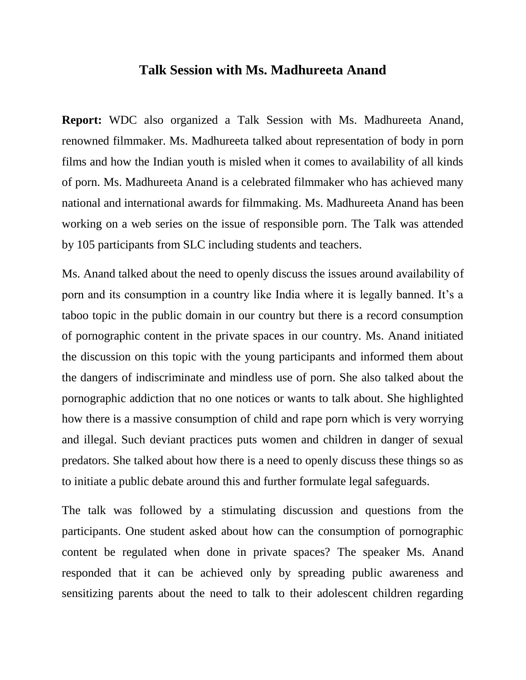#### **Talk Session with Ms. Madhureeta Anand**

**Report:** WDC also organized a Talk Session with Ms. Madhureeta Anand, renowned filmmaker. Ms. Madhureeta talked about representation of body in porn films and how the Indian youth is misled when it comes to availability of all kinds of porn. Ms. Madhureeta Anand is a celebrated filmmaker who has achieved many national and international awards for filmmaking. Ms. Madhureeta Anand has been working on a web series on the issue of responsible porn. The Talk was attended by 105 participants from SLC including students and teachers.

Ms. Anand talked about the need to openly discuss the issues around availability of porn and its consumption in a country like India where it is legally banned. It's a taboo topic in the public domain in our country but there is a record consumption of pornographic content in the private spaces in our country. Ms. Anand initiated the discussion on this topic with the young participants and informed them about the dangers of indiscriminate and mindless use of porn. She also talked about the pornographic addiction that no one notices or wants to talk about. She highlighted how there is a massive consumption of child and rape porn which is very worrying and illegal. Such deviant practices puts women and children in danger of sexual predators. She talked about how there is a need to openly discuss these things so as to initiate a public debate around this and further formulate legal safeguards.

The talk was followed by a stimulating discussion and questions from the participants. One student asked about how can the consumption of pornographic content be regulated when done in private spaces? The speaker Ms. Anand responded that it can be achieved only by spreading public awareness and sensitizing parents about the need to talk to their adolescent children regarding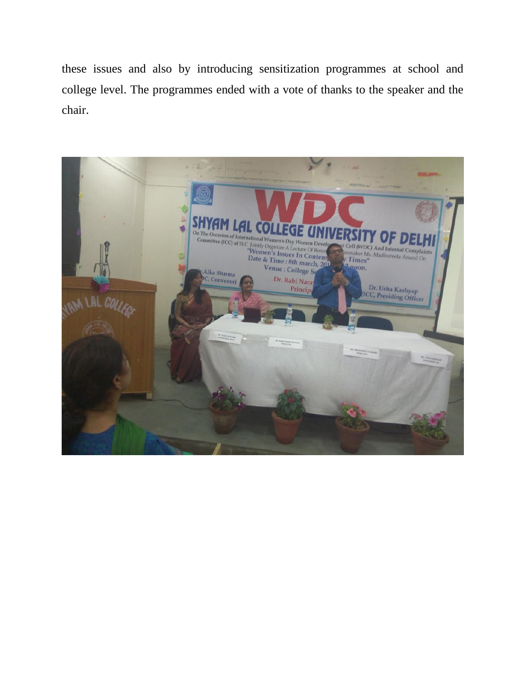these issues and also by introducing sensitization programmes at school and college level. The programmes ended with a vote of thanks to the speaker and the chair.

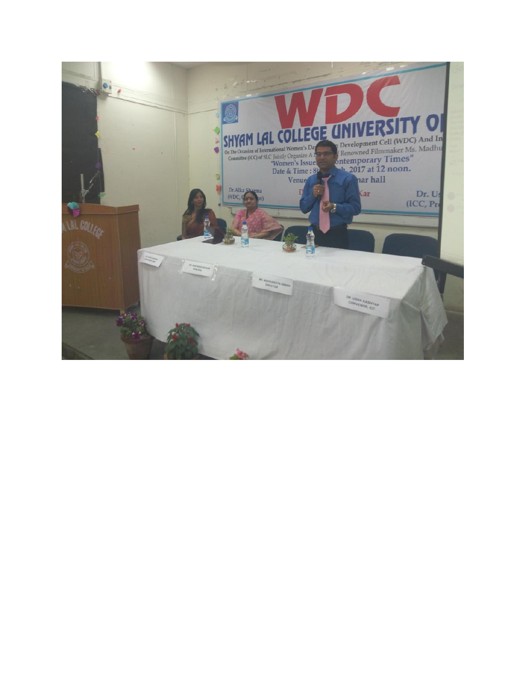